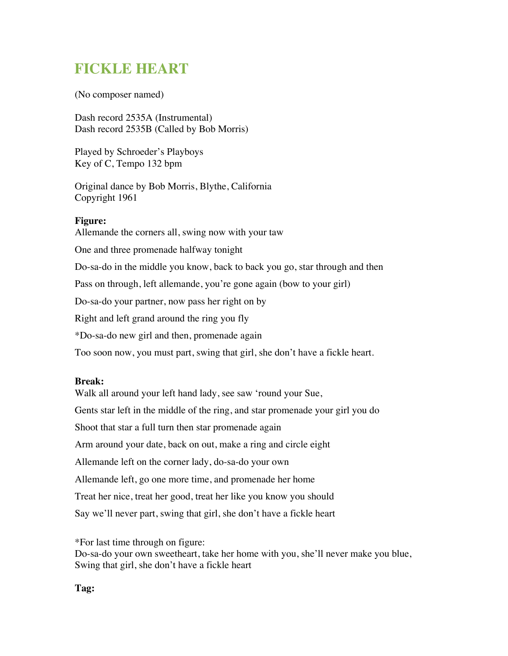## **FICKLE HEART**

(No composer named)

Dash record 2535A (Instrumental) Dash record 2535B (Called by Bob Morris)

Played by Schroeder's Playboys Key of C, Tempo 132 bpm

Original dance by Bob Morris, Blythe, California Copyright 1961

## **Figure:**

Allemande the corners all, swing now with your taw One and three promenade halfway tonight Do-sa-do in the middle you know, back to back you go, star through and then Pass on through, left allemande, you're gone again (bow to your girl) Do-sa-do your partner, now pass her right on by Right and left grand around the ring you fly \*Do-sa-do new girl and then, promenade again Too soon now, you must part, swing that girl, she don't have a fickle heart.

## **Break:**

Walk all around your left hand lady, see saw 'round your Sue, Gents star left in the middle of the ring, and star promenade your girl you do Shoot that star a full turn then star promenade again Arm around your date, back on out, make a ring and circle eight Allemande left on the corner lady, do-sa-do your own Allemande left, go one more time, and promenade her home Treat her nice, treat her good, treat her like you know you should Say we'll never part, swing that girl, she don't have a fickle heart

\*For last time through on figure:

Do-sa-do your own sweetheart, take her home with you, she'll never make you blue, Swing that girl, she don't have a fickle heart

## **Tag:**